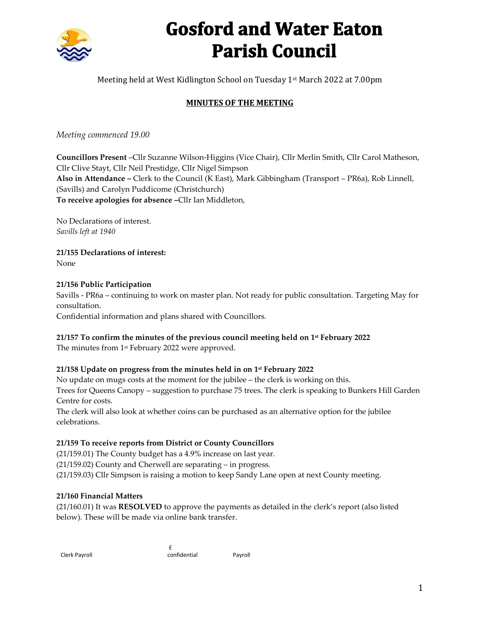

# **Gosford and Water Eaton Parish Council**

Meeting held at West Kidlington School on Tuesday 1st March 2022 at 7.00pm

# **MINUTES OF THE MEETING**

*Meeting commenced 19.00*

**Councillors Present** –Cllr Suzanne Wilson-Higgins (Vice Chair), Cllr Merlin Smith, Cllr Carol Matheson, Cllr Clive Stayt, Cllr Neil Prestidge, Cllr Nigel Simpson **Also in Attendance –** Clerk to the Council (K East), Mark Gibbingham (Transport – PR6a), Rob Linnell, (Savills) and Carolyn Puddicome (Christchurch) **To receive apologies for absence –**Cllr Ian Middleton,

No Declarations of interest. *Savills left at 1940*

**21/155 Declarations of interest:** None

### **21/156 Public Participation**

Savills - PR6a – continuing to work on master plan. Not ready for public consultation. Targeting May for consultation.

Confidential information and plans shared with Councillors.

### **21/157 To confirm the minutes of the previous council meeting held on 1 st February 2022**

The minutes from 1 st February 2022 were approved.

#### **21/158 Update on progress from the minutes held in on 1st February 2022**

No update on mugs costs at the moment for the jubilee – the clerk is working on this. Trees for Queens Canopy – suggestion to purchase 75 trees. The clerk is speaking to Bunkers Hill Garden Centre for costs.

The clerk will also look at whether coins can be purchased as an alternative option for the jubilee celebrations.

#### **21/159 To receive reports from District or County Councillors**

(21/159.01) The County budget has a 4.9% increase on last year.

£

(21/159.02) County and Cherwell are separating – in progress.

(21/159.03) Cllr Simpson is raising a motion to keep Sandy Lane open at next County meeting.

#### **21/160 Financial Matters**

(21/160.01) It was **RESOLVED** to approve the payments as detailed in the clerk's report (also listed below). These will be made via online bank transfer.

| Clerk Payroll |  |
|---------------|--|
|               |  |

confidential Payroll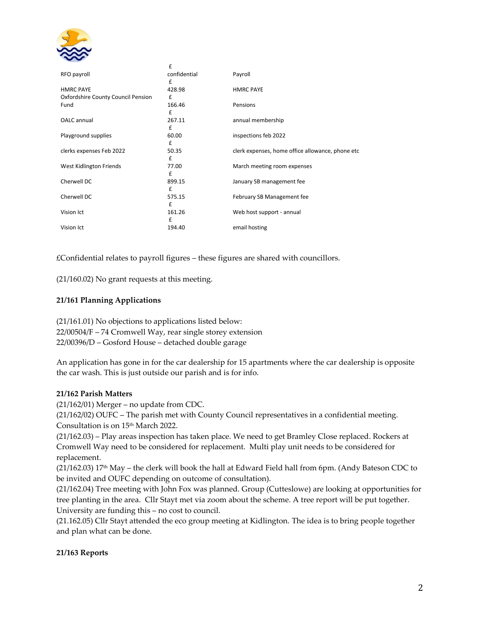

|                                    | £                      |                                                  |
|------------------------------------|------------------------|--------------------------------------------------|
| RFO payroll                        | confidential<br>£      | Payroll                                          |
| <b>HMRC PAYE</b>                   | 428.98                 | <b>HMRC PAYE</b>                                 |
| Oxfordshire County Council Pension | £                      |                                                  |
| Fund                               | 166.46<br>£            | Pensions                                         |
| OALC annual                        | 267.11<br>£            | annual membership                                |
| Playground supplies                | 60.00<br>£             | inspections feb 2022                             |
| clerks expenses Feb 2022           | 50.35<br>f             | clerk expenses, home office allowance, phone etc |
| West Kidlington Friends            | 77.00<br>£             | March meeting room expenses                      |
| Cherwell DC                        | 899.15<br>$\mathbf{f}$ | January SB management fee                        |
| Cherwell DC                        | 575.15<br>f            | February SB Management fee                       |
| Vision Ict                         | 161.26<br>£            | Web host support - annual                        |
| Vision Ict                         | 194.40                 | email hosting                                    |

£Confidential relates to payroll figures – these figures are shared with councillors.

(21/160.02) No grant requests at this meeting.

#### **21/161 Planning Applications**

(21/161.01) No objections to applications listed below: 22/00504/F – 74 Cromwell Way, rear single storey extension 22/00396/D – Gosford House – detached double garage

An application has gone in for the car dealership for 15 apartments where the car dealership is opposite the car wash. This is just outside our parish and is for info.

#### **21/162 Parish Matters**

(21/162/01) Merger – no update from CDC.

(21/162/02) OUFC – The parish met with County Council representatives in a confidential meeting. Consultation is on 15th March 2022.

(21/162.03) – Play areas inspection has taken place. We need to get Bramley Close replaced. Rockers at Cromwell Way need to be considered for replacement. Multi play unit needs to be considered for replacement.

 $(21/162.03)$  17<sup>th</sup> May – the clerk will book the hall at Edward Field hall from 6pm. (Andy Bateson CDC to be invited and OUFC depending on outcome of consultation).

(21/162.04) Tree meeting with John Fox was planned. Group (Cutteslowe) are looking at opportunities for tree planting in the area. Cllr Stayt met via zoom about the scheme. A tree report will be put together. University are funding this – no cost to council.

(21.162.05) Cllr Stayt attended the eco group meeting at Kidlington. The idea is to bring people together and plan what can be done.

#### **21/163 Reports**